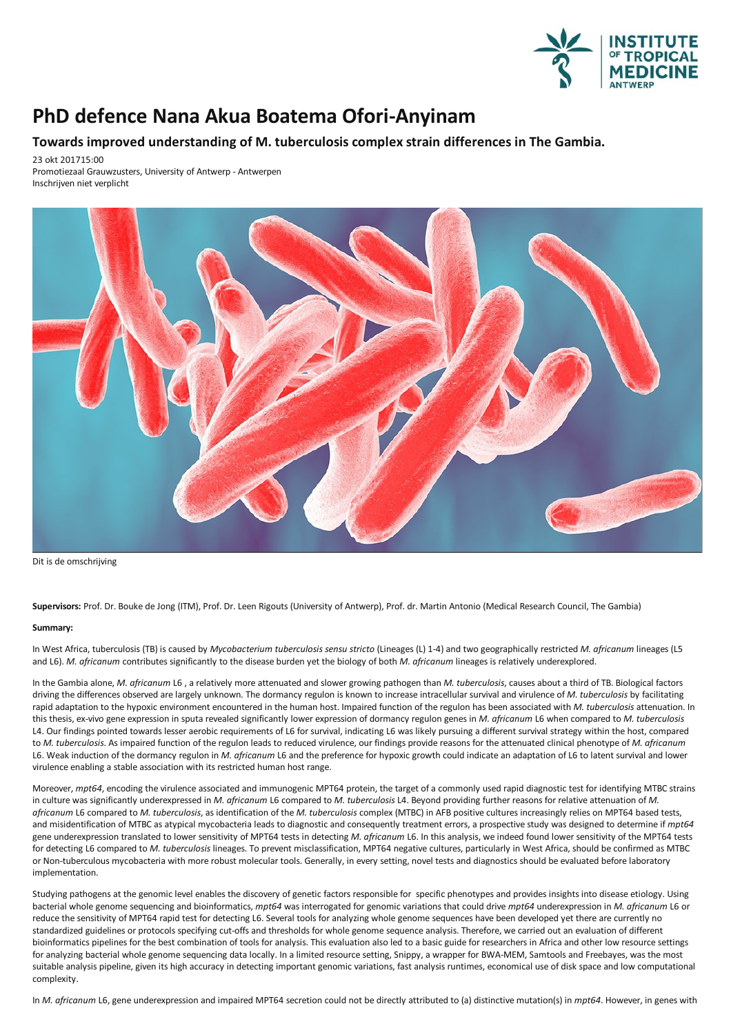

## **PhD defence Nana Akua Boatema Ofori-Anyinam**

## **Towards improved understanding of M. tuberculosis complexstrain differences in The Gambia.**

23 okt 201715:00

Promotiezaal Grauwzusters, University of Antwerp - Antwerpen Inschrijven niet verplicht



Dit is de omschrijving

**Supervisors:** Prof. Dr. Bouke de Jong (ITM), Prof. Dr. Leen Rigouts (University of Antwerp), Prof. dr. Martin Antonio (Medical Research Council,The Gambia)

## **Summary:**

In West Africa, tuberculosis (TB) is caused by *Mycobacterium tuberculosis sensu stricto* (Lineages (L) 1-4)and two geographically restricted *M. africanum* lineages (L5 and L6). *M. africanum* contributes significantly to the disease burden yet the biology of both *M. africanum* lineages is relatively underexplored.

In the Gambia alone, *M. africanum* L6, a relatively more attenuated and slower growing pathogen than *M. tuberculosis*, causes about a third of TB. Biological factors driving the differences observed are largely unknown*.*The dormancy regulon isknown to increase intracellular survival and virulence of *M. tuberculosis* by facilitating rapid adaptation to the hypoxic environment encountered in the human host. Impaired function of the regulon has been associated with *M. tuberculosis* attenuation. In this thesis, ex-vivo gene expression in sputarevealed significantly lower expression of dormancy regulon genes in *M. africanum* L6 when compared to *M. tuberculosis* L4. Our findings pointed towards lesser aerobic requirements of L6 for survival, indicating L6 was likely pursuing a different survival strategy within the host, compared to *M. tuberculosis*. As impaired function of the regulon leads to reduced virulence, our findings provide reasons for the attenuated clinical phenotype of *M. africanum* L6. Weak induction of the dormancy regulon in *M. africanum* L6 and the preference for hypoxic growth could indicate an adaptation of L6 to latent survival and lower virulence enabling a stable association with its restricted human host range.

Moreover, *mpt64*, encoding the virulence associated and immunogenic MPT64 protein, the target of a commonly used rapid diagnostic test for identifying MTBC strains in culture was significantly underexpressed in *M. africanum* L6 compared to *M. tuberculosis* L4. Beyond providing further reasons for relative attenuation of *M. africanum* L6 compared to *M. tuberculosis*,as identification of the*M. tuberculosis* complex (MTBC) in AFB positive cultures increasingly relies on MPT64 based tests, and misidentification of MTBC as atypical mycobacteria leads to diagnostic and consequently treatment errors, a prospective study was designed to determine if *mpt64* gene underexpression translated to lower sensitivity of MPT64 tests in detecting *M. africanum* L6. In thisanalysis, we indeed found lower sensitivity of theMPT64 tests for detecting L6 compared to *M. tuberculosis* lineages. To prevent misclassification, MPT64 negative cultures, particularly in West Africa, should be confirmed as MTBC or Non-tuberculous mycobacteria with more robust molecular tools. Generally, in every setting, novel tests and diagnostics should be evaluated before laboratory implementation.

Studying pathogens at the genomic level enables the discovery of genetic factors responsible for specific phenotypes and provides insights into disease etiology. Using bacterial whole genome sequencingand bioinformatics, *mpt64* was interrogated forgenomic variations that could drive *mpt64* underexpression in *M. africanum* L6 or reduce the sensitivity of MPT64 rapid test for detecting L6. Several tools for analyzing whole genome sequences have been developed yet there are currently no standardized guidelines or protocols specifying cut-offs and thresholds for whole genome sequence analysis. Therefore, we carried out an evaluation of different bioinformatics pipelines for the best combination of tools for analysis. This evaluation also led to a basic guide for researchers in Africa and other low resource settings for analyzing bacterial whole genome sequencing data locally. In a limited resource setting, Snippy, a wrapper for BWA-MEM, Samtools and Freebayes, was the most suitable analysis pipeline, given its high accuracy in detecting important genomic variations, fast analysis runtimes, economical use of disk space and low computational complexity.

In *M. africanum* L6,gene underexpression and impaired MPT64 secretion could not be directly attributed to (a) distinctive mutation(s) in *mpt64*. However, in genes with